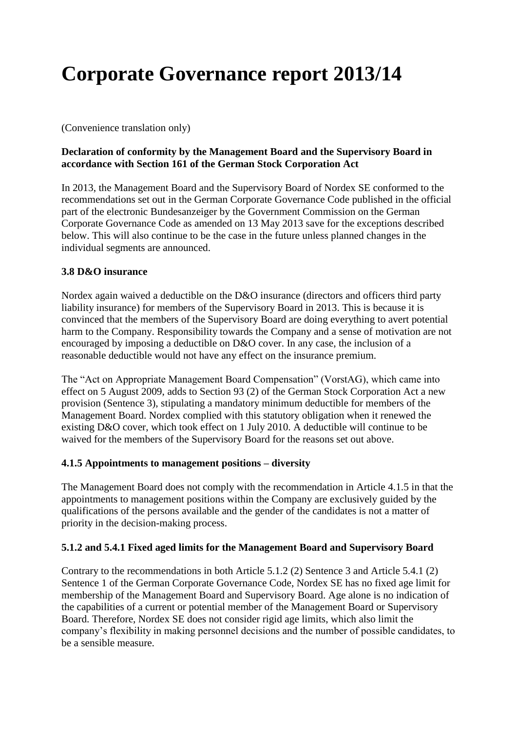# **Corporate Governance report 2013/14**

(Convenience translation only)

### **Declaration of conformity by the Management Board and the Supervisory Board in accordance with Section 161 of the German Stock Corporation Act**

In 2013, the Management Board and the Supervisory Board of Nordex SE conformed to the recommendations set out in the German Corporate Governance Code published in the official part of the electronic Bundesanzeiger by the Government Commission on the German Corporate Governance Code as amended on 13 May 2013 save for the exceptions described below. This will also continue to be the case in the future unless planned changes in the individual segments are announced.

### **3.8 D&O insurance**

Nordex again waived a deductible on the D&O insurance (directors and officers third party liability insurance) for members of the Supervisory Board in 2013. This is because it is convinced that the members of the Supervisory Board are doing everything to avert potential harm to the Company. Responsibility towards the Company and a sense of motivation are not encouraged by imposing a deductible on D&O cover. In any case, the inclusion of a reasonable deductible would not have any effect on the insurance premium.

The "Act on Appropriate Management Board Compensation" (VorstAG), which came into effect on 5 August 2009, adds to Section 93 (2) of the German Stock Corporation Act a new provision (Sentence 3), stipulating a mandatory minimum deductible for members of the Management Board. Nordex complied with this statutory obligation when it renewed the existing D&O cover, which took effect on 1 July 2010. A deductible will continue to be waived for the members of the Supervisory Board for the reasons set out above.

### **4.1.5 Appointments to management positions – diversity**

The Management Board does not comply with the recommendation in Article 4.1.5 in that the appointments to management positions within the Company are exclusively guided by the qualifications of the persons available and the gender of the candidates is not a matter of priority in the decision-making process.

### **5.1.2 and 5.4.1 Fixed aged limits for the Management Board and Supervisory Board**

Contrary to the recommendations in both Article 5.1.2 (2) Sentence 3 and Article 5.4.1 (2) Sentence 1 of the German Corporate Governance Code, Nordex SE has no fixed age limit for membership of the Management Board and Supervisory Board. Age alone is no indication of the capabilities of a current or potential member of the Management Board or Supervisory Board. Therefore, Nordex SE does not consider rigid age limits, which also limit the company's flexibility in making personnel decisions and the number of possible candidates, to be a sensible measure.